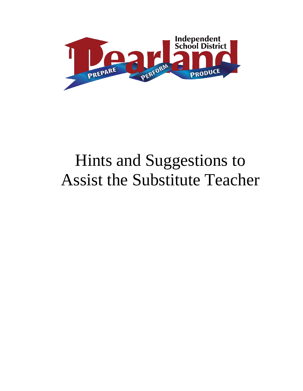

# Hints and Suggestions to Assist the Substitute Teacher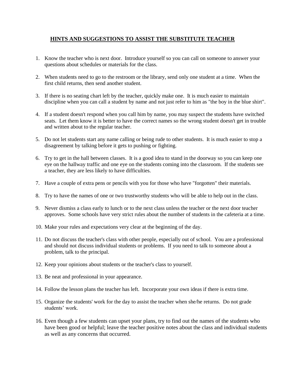# **HINTS AND SUGGESTIONS TO ASSIST THE SUBSTITUTE TEACHER**

- 1. Know the teacher who is next door. Introduce yourself so you can call on someone to answer your questions about schedules or materials for the class.
- 2. When students need to go to the restroom or the library, send only one student at a time. When the first child returns, then send another student.
- 3. If there is no seating chart left by the teacher, quickly make one. It is much easier to maintain discipline when you can call a student by name and not just refer to him as "the boy in the blue shirt".
- 4. If a student doesn't respond when you call him by name, you may suspect the students have switched seats. Let them know it is better to have the correct names so the wrong student doesn't get in trouble and written about to the regular teacher.
- 5. Do not let students start any name calling or being rude to other students. It is much easier to stop a disagreement by talking before it gets to pushing or fighting.
- 6. Try to get in the hall between classes. It is a good idea to stand in the doorway so you can keep one eye on the hallway traffic and one eye on the students coming into the classroom. If the students see a teacher, they are less likely to have difficulties.
- 7. Have a couple of extra pens or pencils with you for those who have "forgotten" their materials.
- 8. Try to have the names of one or two trustworthy students who will be able to help out in the class.
- 9. Never dismiss a class early to lunch or to the next class unless the teacher or the next door teacher approves. Some schools have very strict rules about the number of students in the cafeteria at a time.
- 10. Make your rules and expectations very clear at the beginning of the day.
- 11. Do not discuss the teacher's class with other people, especially out of school. You are a professional and should not discuss individual students or problems. If you need to talk to someone about a problem, talk to the principal.
- 12. Keep your opinions about students or the teacher's class to yourself.
- 13. Be neat and professional in your appearance.
- 14. Follow the lesson plans the teacher has left. Incorporate your own ideas if there is extra time.
- 15. Organize the students' work for the day to assist the teacher when she/he returns. Do not grade students' work.
- 16. Even though a few students can upset your plans, try to find out the names of the students who have been good or helpful; leave the teacher positive notes about the class and individual students as well as any concerns that occurred.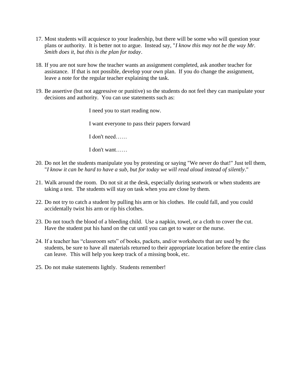- 17. Most students will acquiesce to your leadership, but there will be some who will question your plans or authority. It is better not to argue. Instead say, "*I know this may not be the way Mr. Smith does it, but this is the plan for today*.
- 18. If you are not sure how the teacher wants an assignment completed, ask another teacher for assistance. If that is not possible, develop your own plan. If you do change the assignment, leave a note for the regular teacher explaining the task.
- 19. Be assertive (but not aggressive or punitive) so the students do not feel they can manipulate your decisions and authority. You can use statements such as:

I need you to start reading now. I want everyone to pass their papers forward I don't need…… I don't want……

- 20. Do not let the students manipulate you by protesting or saying "We never do that!" Just tell them, "*I know it can be hard to have a sub, but for today we will read aloud instead of silently*."
- 21. Walk around the room. Do not sit at the desk, especially during seatwork or when students are taking a test. The students will stay on task when you are close by them.
- 22. Do not try to catch a student by pulling his arm or his clothes. He could fall, and you could accidentally twist his arm or rip his clothes.
- 23. Do not touch the blood of a bleeding child. Use a napkin, towel, or a cloth to cover the cut. Have the student put his hand on the cut until you can get to water or the nurse.
- 24. If a teacher has "classroom sets" of books, packets, and/or worksheets that are used by the students, be sure to have all materials returned to their appropriate location before the entire class can leave. This will help you keep track of a missing book, etc.
- 25. Do not make statements lightly. Students remember!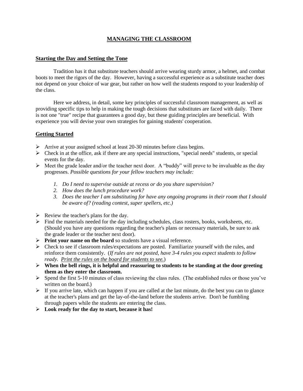# **MANAGING THE CLASSROOM**

## **Starting the Day and Setting the Tone**

Tradition has it that substitute teachers should arrive wearing sturdy armor, a helmet, and combat boots to meet the rigors of the day. However, having a successful experience as a substitute teacher does not depend on your choice of war gear, but rather on how well the students respond to your leadership of the class.

Here we address, in detail, some key principles of successful classroom management, as well as providing specific tips to help in making the tough decisions that substitutes are faced with daily. There is not one "true" recipe that guarantees a good day, but these guiding principles are beneficial. With experience you will devise your own strategies for gaining students' cooperation.

## **Getting Started**

- Arrive at your assigned school at least 20-30 minutes before class begins.
- $\triangleright$  Check in at the office, ask if there are any special instructions, "special needs" students, or special events for the day.
- $\triangleright$  Meet the grade leader and/or the teacher next door. A "buddy" will prove to be invaluable as the day progresses. *Possible questions for your fellow teachers may include:*
	- *1. Do I need to supervise outside at recess or do you share supervision?*
	- *2. How does the lunch procedure work?*
	- *3. Does the teacher I am substituting for have any ongoing programs in their room that I should be aware of? (reading contest, super spellers, etc.)*
- $\triangleright$  Review the teacher's plans for the day.
- $\triangleright$  Find the materials needed for the day including schedules, class rosters, books, worksheets, etc. (Should you have any questions regarding the teacher's plans or necessary materials, be sure to ask the grade leader or the teacher next door).
- **Print your name on the board** so students have a visual reference.
- $\triangleright$  Check to see if classroom rules/expectations are posted. Familiarize yourself with the rules, and reinforce them consistently. (*If rules are not posted, have 3-4 rules you expect students to follow ready. Print the rules on the board for students to see.*)
- $\triangleright$  When the bell rings, it is helpful and reassuring to students to be standing at the door greeting **them as they enter the classroom.**
- $\triangleright$  Spend the first 5-10 minutes of class reviewing the class rules. (The established rules or those you've written on the board.)
- $\triangleright$  If you arrive late, which can happen if you are called at the last minute, do the best you can to glance at the teacher's plans and get the lay-of-the-land before the students arrive. Don't be fumbling through papers while the students are entering the class.
- **Look ready for the day to start, because it has!**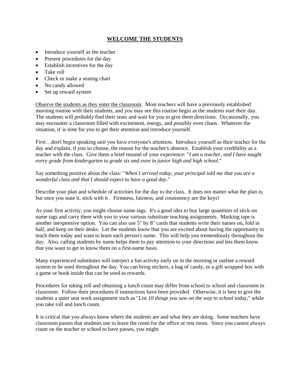# **WELCOME THE STUDENTS**

- Introduce yourself as the teacher
- Present procedures for the day
- Establish incentives for the day
- Take roll
- Check or make a seating chart
- No candy allowed
- Set up reward system

Observe the students as they enter the classroom. Most teachers will have a previously established morning routine with their students, and you may see this routine begin as the students start their day. The students will probably find their seats and wait for you to give them directions. Occasionally, you may encounter a classroom filled with excitement, energy, and possibly even chaos. Whatever the situation, it' is time for you to get their attention and introduce yourself.

First…don't begin speaking unit you have everyone's attention. Introduce yourself as their teacher for the day and explain, if you so choose, the reason for the teacher's absence. Establish your credibility as a teacher with the class. Give them a brief resumé of your experience: "*I am a teacher, and I have taught every grade from kindergarten to grade six and even in junior high and high school.*"

Say something positive about the class: "*When I arrived today, your principal told me that you are a wonderful class and that I should expect to have a good day*."

Describe your plan and schedule of activities for the day to the class. It does not matter what the plan is; but once you state it, stick with it . Firmness, fairness, and consistency are the keys!

As your first activity, you might choose name tags. It's a good idea to buy large quantities of stick-on name tags and carry them with you to your various substitute teaching assignments. Masking tape is another inexpensive option. You can also use 5" by 8" cards that students write their names on, fold in half, and keep on their desks. Let the students know that you are excited about having the opportunity to teach them today and want to learn each person's name. This will help you tremendously throughout the day. Also, calling students by name helps them to pay attention to your directions and lets them know that you want to get to know them on a first-name basis.

Many experienced substitutes will interject a fun activity early on in the morning or outline a reward system to be used throughout the day. You can bring stickers, a bag of candy, or a gift wrapped box with a game or book inside that can be used as rewards.

Procedures for taking roll and obtaining a lunch count may differ from school to school and classroom to classroom. Follow their procedures if instructions have been provided. Otherwise, it is best to give the students a quiet seat work assignment such as "*List 10 things you saw on the way to school today*," while you take roll and lunch count.

It is critical that you always know where the students are and what they are doing. Some teachers have classroom passes that students use to leave the room for the office or rest room. Since you cannot always count on the teacher or school to have passes, you might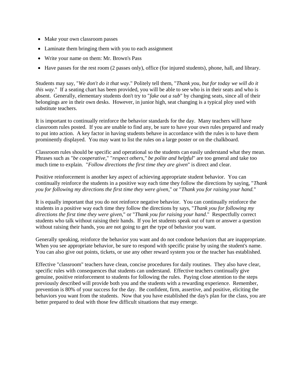- Make your own classroom passes
- Laminate them bringing them with you to each assignment
- Write your name on them: Mr. Brown's Pass
- Have passes for the rest room (2 passes only), office (for injured students), phone, hall, and library.

Students may say, "*We don't do it that way*." Politely tell them, "*Thank you, but for today we will do it this way*." If a seating chart has been provided, you will be able to see who is in their seats and who is absent. Generally, elementary students don't try to "*fake out a sub*" by changing seats, since all of their belongings are in their own desks. However, in junior high, seat changing is a typical ploy used with substitute teachers.

It is important to continually reinforce the behavior standards for the day. Many teachers will have classroom rules posted. If you are unable to find any, be sure to have your own rules prepared and ready to put into action. A key factor in having students behave in accordance with the rules is to have them prominently displayed. You may want to list the rules on a large poster or on the chalkboard.

Classroom rules should be specific and operational so the students can easily understand what they mean. Phrases such as "*be cooperative*," "*respect others," be polite and helpful*" are too general and take too much time to explain. "*Follow directions the first time they are given*" is direct and clear.

Positive reinforcement is another key aspect of achieving appropriate student behavior. You can continually reinforce the students in a positive way each time they follow the directions by saying, "*Thank you for following my directions the first time they were given*," or "*Thank you for raising your hand.*"

It is equally important that you do not reinforce negative behavior. You can continually reinforce the students in a positive way each time they follow the directions by says, "*Thank you for following my directions the first time they were given*," or "*Thank you for raising your hand*." Respectfully correct students who talk without raising their hands. If you let students speak out of turn or answer a question without raising their hands, you are not going to get the type of behavior you want.

Generally speaking, reinforce the behavior you want and do not condone behaviors that are inappropriate. When you see appropriate behavior, be sure to respond with specific praise by using the student's name. You can also give out points, tickets, or use any other reward system you or the teacher has established.

Effective "classroom" teachers have clean, concise procedures for daily routines. They also have clear, specific rules with consequences that students can understand. Effective teachers continually give genuine, positive reinforcement to students for following the rules. Paying close attention to the steps previously described will provide both you and the students with a rewarding experience. Remember, prevention is 80% of your success for the day. Be confident, firm, assertive, and positive, eliciting the behaviors you want from the students. Now that you have established the day's plan for the class, you are better prepared to deal with those few difficult situations that may emerge.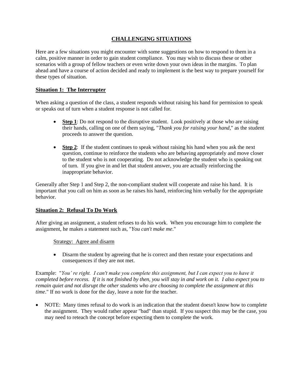# **CHALLENGING SITUATIONS**

Here are a few situations you might encounter with some suggestions on how to respond to them in a calm, positive manner in order to gain student compliance. You may wish to discuss these or other scenarios with a group of fellow teachers or even write down your own ideas in the margins. To plan ahead and have a course of action decided and ready to implement is the best way to prepare yourself for these types of situation.

## **Situation 1: The Interrupter**

When asking a question of the class, a student responds without raising his hand for permission to speak or speaks out of turn when a student response is not called for.

- Step 1: Do not respond to the disruptive student. Look positively at those who are raising their hands, calling on one of them saying, "*Thank you for raising your hand*," as the student proceeds to answer the question.
- **Step 2**: If the student continues to speak without raising his hand when you ask the next question, continue to reinforce the students who are behaving appropriately and move closer to the student who is not cooperating. Do not acknowledge the student who is speaking out of turn. If you give in and let that student answer, you are actually reinforcing the inappropriate behavior.

Generally after Step 1 and Step 2, the non-compliant student will cooperate and raise his hand. It is important that you call on him as soon as he raises his hand, reinforcing him verbally for the appropriate behavior.

#### **Situation 2: Refusal To Do Work**

After giving an assignment, a student refuses to do his work. When you encourage him to complete the assignment, he makes a statement such as, "*You can't make me*."

Strategy: Agree and disarm

 Disarm the student by agreeing that he is correct and then restate your expectations and consequences if they are not met.

Example: "*You' re right. I can't make you complete this assignment, but I can expect you to have it completed before recess. If it is not finished by then, you will stay in and work on it. I also expect you to remain quiet and not disrupt the other students who are choosing to complete the assignment at this time*." If no work is done for the day, leave a note for the teacher.

• NOTE: Many times refusal to do work is an indication that the student doesn't know how to complete the assignment. They would rather appear "bad" than stupid. If you suspect this may be the case, you may need to reteach the concept before expecting them to complete the work.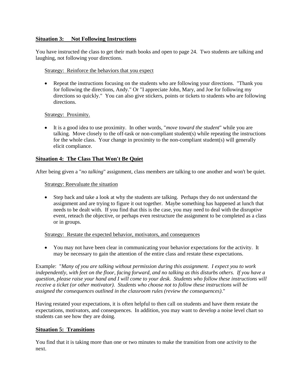## **Situation 3: Not Following Instructions**

You have instructed the class to get their math books and open to page 24. Two students are talking and laughing, not following your directions.

#### Strategy: Reinforce the behaviors that you expect

• Repeat the instructions focusing on the students who are following your directions. "Thank you for following the directions, Andy." Or "I appreciate John, Mary, and Joe for following my directions so quickly." You can also give stickers, points or tickets to students who are following directions.

#### Strategy: Proximity.

 It is a good idea to use proximity. In other words, "*move toward the student*" while you are talking. Move closely to the off-task or non-compliant student(s) while repeating the instructions for the whole class. Your change in proximity to the non-compliant student(s) will generally elicit compliance.

#### **Situation 4: The Class That Won't Be Quiet**

After being given a "*no talking*" assignment, class members are talking to one another and won't be quiet.

#### Strategy: Reevaluate the situation

 Step back and take a look at why the students are talking. Perhaps they do not understand the assignment and are trying to figure it out together. Maybe something has happened at lunch that needs to be dealt with. If you find that this is the case, you may need to deal with the disruptive event, reteach the objective, or perhaps even restructure the assignment to be completed as a class or in groups.

#### Strategy: Restate the expected behavior, motivators, and consequences

 You may not have been clear in communicating your behavior expectations for the activity. It may be necessary to gain the attention of the entire class and restate these expectations.

Example: "*Many of you are talking without permission during this assignment. I expect you to work independently, with feet on the floor, facing forward, and no talking as this disturbs others. If you have a question, please raise your hand and I will come to your desk. Students who follow these instructions will receive a ticket (or other motivator). Students who choose not to follow these instructions will be assigned the consequences outlined in the classroom rules (review the consequences)*."

Having restated your expectations, it is often helpful to then call on students and have them restate the expectations, motivators, and consequences. In addition, you may want to develop a noise level chart so students can see how they are doing.

#### **Situation 5: Transitions**

You find that it is taking more than one or two minutes to make the transition from one activity to the next.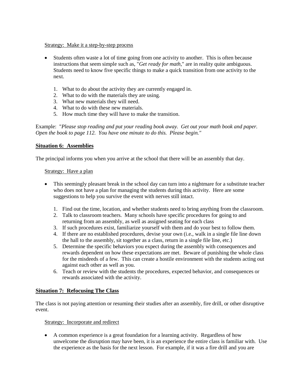#### Strategy: Make it a step-by-step process

- Students often waste a lot of time going from one activity to another. This is often because instructions that seem simple such as, "*Get ready for math*," are in reality quite ambiguous. Students need to know five specific things to make a quick transition from one activity to the next.
	- 1. What to do about the activity they are currently engaged in.
	- 2. What to do with the materials they are using.
	- 3. What new materials they will need.
	- 4. What to do with these new materials.
	- 5. How much time they will have to make the transition.

Example: "*Please stop reading and put your reading book away. Get out your math book and paper. Open the book to page 112. You have one minute to do this. Please begin."*

## **Situation 6: Assemblies**

The principal informs you when you arrive at the school that there will be an assembly that day.

#### Strategy: Have a plan

- This seemingly pleasant break in the school day can turn into a nightmare for a substitute teacher who does not have a plan for managing the students during this activity. Here are some suggestions to help you survive the event with nerves still intact.
	- 1. Find out the time, location, and whether students need to bring anything from the classroom.
	- 2. Talk to classroom teachers. Many schools have specific procedures for going to and returning from an assembly, as well as assigned seating for each class
	- 3. If such procedures exist, familiarize yourself with them and do your best to follow them.
	- 4. If there are no established procedures, devise your own (i.e., walk in a single file line down the hall to the assembly, sit together as a class, return in a single file line, etc.)
	- 5. Determine the specific behaviors you expect during the assembly with consequences and rewards dependent on how these expectations are met. Beware of punishing the whole class for the misdeeds of a few. This can create a hostile environment with the students acting out against each other as well as you.
	- 6. Teach or review with the students the procedures, expected behavior, and consequences or rewards associated with the activity.

## **Situation 7: Refocusing The Class**

The class is not paying attention or resuming their studies after an assembly, fire drill, or other disruptive event.

#### Strategy: Incorporate and redirect

 A common experience is a great foundation for a learning activity. Regardless of how unwelcome the disruption may have been, it is an experience the entire class is familiar with. Use the experience as the basis for the next lesson. For example, if it was a fire drill and you are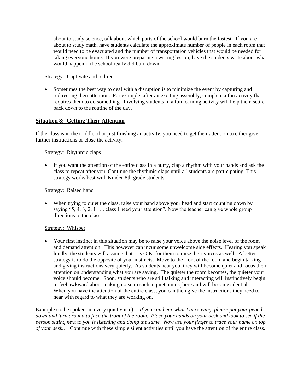about to study science, talk about which parts of the school would burn the fastest. If you are about to study math, have students calculate the approximate number of people in each room that would need to be evacuated and the number of transportation vehicles that would be needed for taking everyone home. If you were preparing a writing lesson, have the students write about what would happen if the school really did burn down.

## Strategy: Captivate and redirect

 Sometimes the best way to deal with a disruption is to minimize the event by capturing and redirecting their attention. For example, after an exciting assembly, complete a fun activity that requires them to do something. Involving students in a fun learning activity will help them settle back down to the routine of the day.

## **Situation 8: Getting Their Attention**

If the class is in the middle of or just finishing an activity, you need to get their attention to either give further instructions or close the activity.

## Strategy: Rhythmic claps

 If you want the attention of the entire class in a hurry, clap a rhythm with your hands and ask the class to repeat after you. Continue the rhythmic claps until all students are participating. This strategy works best with Kinder-8th grade students.

## Strategy: Raised hand

• When trying to quiet the class, raise your hand above your head and start counting down by saying "5,  $\overline{4}$ ,  $\overline{3}$ ,  $\overline{2}$ , 1 . . . class I need your attention". Now the teacher can give whole group directions to the class.

## Strategy: Whisper

 Your first instinct in this situation may be to raise your voice above the noise level of the room and demand attention. This however can incur some unwelcome side effects. Hearing you speak loudly, the students will assume that it is O.K. for them to raise their voices as well. A better strategy is to do the opposite of your instincts. Move to the front of the room and begin talking and giving instructions very quietly. As students hear you, they will become quiet and focus their attention on understanding what you are saying, The quieter the room becomes, the quieter your voice should become. Soon, students who are still talking and interacting will instinctively begin to feel awkward about making noise in such a quiet atmosphere and will become silent also. When you have the attention of the entire class, you can then give the instructions they need to hear with regard to what they are working on.

Example (to be spoken in a very quiet voice): "*If you can hear what I am saying, please put your pencil down and turn around to face the front of the room. Place your hands on your desk and look to see if the person sitting next to you is listening and doing the same. Now use your finger to trace your name on top of your desk.."* Continue with these simple silent activities until you have the attention of the entire class.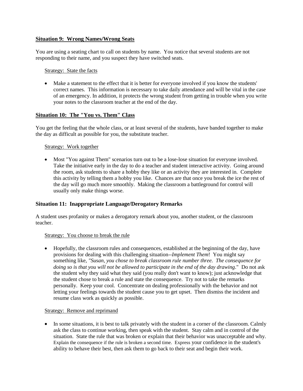## **Situation 9: Wrong Names/Wrong Seats**

You are using a seating chart to call on students by name. You notice that several students are not responding to their name, and you suspect they have switched seats.

#### Strategy: State the facts

 Make a statement to the effect that it is better for everyone involved if you know the students' correct names. This information is necessary to take daily attendance and will be vital in the case of an emergency. In addition, it protects the wrong student from getting in trouble when you write your notes to the classroom teacher at the end of the day.

#### **Situation 10: The "You vs. Them" Class**

You get the feeling that the whole class, or at least several of the students, have banded together to make the day as difficult as possible for you, the substitute teacher.

#### Strategy: Work together

 Most "You against Them" scenarios turn out to be a lose-lose situation for everyone involved. Take the initiative early in the day to do a teacher and student interactive activity. Going around the room, ask students to share a hobby they like or an activity they are interested in. Complete this activity by telling them a hobby you like. Chances are that once you break the ice the rest of the day will go much more smoothly. Making the classroom a battleground for control will usually only make things worse.

#### **Situation 11: Inappropriate Language/Derogatory Remarks**

A student uses profanity or makes a derogatory remark about you, another student, or the classroom teacher.

#### Strategy: You choose to break the rule

 Hopefully, the classroom rules and consequences, established at the beginning of the day, have provisions for dealing with this challenging situation--*Implement Them*! You might say something like*, "Susan, you chose to break classroom rule number three. The consequence for doing so is that you will not be allowed to participate in the end of the day drawing*." Do not ask the student why they said what they said (you really don't want to know); just acknowledge that the student chose to break a rule and state the consequence. Try not to take the remarks personally. Keep your cool. Concentrate on dealing professionally with the behavior and not letting your feelings towards the student cause you to get upset. Then dismiss the incident and resume class work as quickly as possible.

#### Strategy: Remove and reprimand

• In some situations, it is best to talk privately with the student in a corner of the classroom. Calmly ask the class to continue working, then speak with the student. Stay calm and in control of the situation. State the rule that was broken or explain that their behavior was unacceptable and why. Explain the consequence if the rule is broken a second time. Express your confidence in the student's ability to behave their best, then ask them to go back to their seat and begin their work.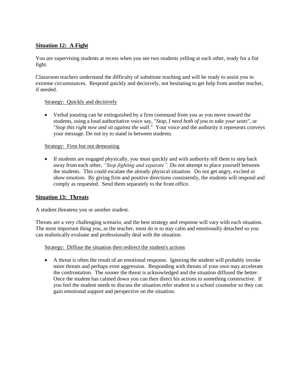## **Situation 12: A Fight**

You are supervising students at recess when you see two students yelling at each other, ready for a fist fight.

Classroom teachers understand the difficulty of substitute teaching and will be ready to assist you in extreme circumstances. Respond quickly and decisively, not hesitating to get help from another teacher, if needed.

#### Strategy: Quickly and decisively

 Verbal jousting can be extinguished by a firm command from you as you move toward the students, using a loud authoritative voice say, "*Stop*, *I need both of you to take your seats*", or "*Stop this right now and sit against the wall*." Your voice and the authority it represents conveys your message. Do not try to stand in between students.

#### Strategy: Firm but not demeaning

 If students are engaged physically, you must quickly and with authority tell them to step back away from each other, *"Stop fighting and separate".* Do not attempt to place yourself between the students. This could escalate the already physical situation. Do not get angry, excited or show emotion. By giving firm and positive directions consistently, the students will respond and comply as requested. Send them separately to the front office.

## **Situation 13: Threats**

A student threatens you or another student.

Threats are a very challenging scenario, and the best strategy and response will vary with each situation. The most important thing you, as the teacher, must do is to stay calm and emotionally detached so you can realistically evaluate and professionally deal with the situation.

#### Strategy: Diffuse the situation then redirect the student's actions

 A threat is often the result of an emotional response. Ignoring the student will probably invoke more threats and perhaps even aggression. Responding with threats of your own may accelerate the confrontation. The sooner the threat is acknowledged and the situation diffused the better. Once the student has calmed down you can then direct his actions to something constructive. If you feel the student needs to discuss the situation refer student to a school counselor so they can gain emotional support and perspective on the situation.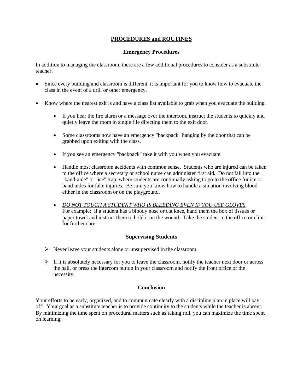# **PROCEDURES and ROUTINES**

## **Emergency Procedures**

In addition to managing the classroom, there are a few additional procedures to consider as a substitute teacher.

- Since every building and classroom is different, it is important for you to know how to evacuate the class in the event of a drill or other emergency.
- Know where the nearest exit is and have a class list available to grab when you evacuate the building.
	- If you hear the fire alarm or a message over the intercom, instruct the students to quickly and quietly leave the room in single file directing them to the exit door.
	- Some classrooms now have an emergency "backpack" hanging by the door that can be grabbed upon exiting with the class.
	- If you see an emergency "backpack" take it with you when you evacuate.
	- Handle most classroom accidents with common sense. Students who are injured can be taken to the office where a secretary or school nurse can administer first aid. Do not fall into the "band-aide" or "ice" trap, where students are continually asking to go to the office for ice or band-aides for fake injuries. Be sure you know how to handle a situation involving blood either in the classroom or on the playground.
	- *DO NOT TOUCH A STUDENT WHO IS BLEEDING EVEN IF YOU USE GLOVES.*  For example: If a student has a bloody nose or cut knee, hand them the box of tissues or paper towel and instruct them to hold it on the wound. Take the student to the office or clinic for further care.

## **Supervising Students**

- $\triangleright$  Never leave your students alone or unsupervised in the classroom.
- $\triangleright$  If it is absolutely necessary for you to leave the classroom, notify the teacher next door or across the hall, or press the intercom button in your classroom and notify the front office of the necessity.

## **Conclusion**

Your efforts to be early, organized, and to communicate clearly with a discipline plan in place will pay off! Your goal as a substitute teacher is to provide continuity to the students while the teacher is absent. By minimizing the time spent on procedural matters such as taking roll, you can maximize the time spent on learning.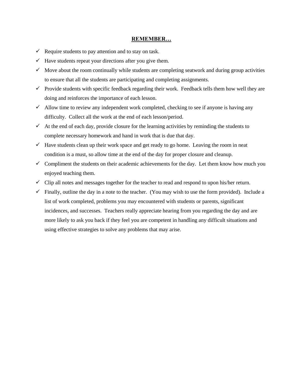#### **REMEMBER…**

- $\checkmark$  Require students to pay attention and to stay on task.
- $\checkmark$  Have students repeat your directions after you give them.
- $\checkmark$  Move about the room continually while students are completing seatwork and during group activities to ensure that all the students are participating and completing assignments.
- $\checkmark$  Provide students with specific feedback regarding their work. Feedback tells them how well they are doing and reinforces the importance of each lesson.
- $\checkmark$  Allow time to review any independent work completed, checking to see if anyone is having any difficulty. Collect all the work at the end of each lesson/period.
- $\checkmark$  At the end of each day, provide closure for the learning activities by reminding the students to complete necessary homework and hand in work that is due that day.
- $\checkmark$  Have students clean up their work space and get ready to go home. Leaving the room in neat condition is a must, so allow time at the end of the day for proper closure and cleanup.
- $\checkmark$  Compliment the students on their academic achievements for the day. Let them know how much you enjoyed teaching them.
- $\checkmark$  Clip all notes and messages together for the teacher to read and respond to upon his/her return.
- $\checkmark$  Finally, outline the day in a note to the teacher. (You may wish to use the form provided). Include a list of work completed, problems you may encountered with students or parents, significant incidences, and successes. Teachers really appreciate hearing from you regarding the day and are more likely to ask you back if they feel you are competent in handling any difficult situations and using effective strategies to solve any problems that may arise.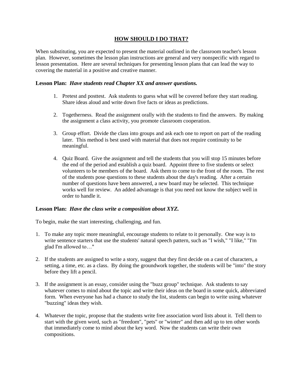## **HOW SHOULD I DO THAT?**

When substituting, you are expected to present the material outlined in the classroom teacher's lesson plan. However, sometimes the lesson plan instructions are general and very nonspecific with regard to lesson presentation. Here are several techniques for presenting lesson plans that can lead the way to covering the material in a positive and creative manner.

#### **Lesson Plan:** *Have students read Chapter XX and answer questions.*

- 1. Pretest and posttest. Ask students to guess what will be covered before they start reading. Share ideas aloud and write down five facts or ideas as predictions.
- 2. Togetherness. Read the assignment orally with the students to find the answers. By making the assignment a class activity, you promote classroom cooperation.
- 3. Group effort. Divide the class into groups and ask each one to report on part of the reading later. This method is best used with material that does not require continuity to be meaningful.
- 4. Quiz Board. Give the assignment and tell the students that you will stop 15 minutes before the end of the period and establish a quiz board. Appoint three to five students or select volunteers to be members of the board. Ask them to come to the front of the room. The rest of the students pose questions to these students about the day's reading. After a certain number of questions have been answered, a new board may be selected. This technique works well for review. An added advantage is that you need not know the subject well in order to handle it.

#### **Lesson Plan:** *Have the class write a composition about XYZ.*

To begin, make the start interesting, challenging, and fun.

- 1. To make any topic more meaningful, encourage students to relate to it personally. One way is to write sentence starters that use the students' natural speech pattern, such as "I wish," "I like," "I'm glad I'm allowed to…"
- 2. If the students are assigned to write a story, suggest that they first decide on a cast of characters, a setting, a time, etc. as a class. By doing the groundwork together, the students will be "into" the story before they lift a pencil.
- 3. If the assignment is an essay, consider using the "buzz group" technique. Ask students to say whatever comes to mind about the topic and write their ideas on the board in some quick, abbreviated form. When everyone has had a chance to study the list, students can begin to write using whatever "buzzing" ideas they wish.
- 4. Whatever the topic, propose that the students write free association word lists about it. Tell them to start with the given word, such as "freedom", "pets" or "winter" and then add up to ten other words that immediately come to mind about the key word. Now the students can write their own compositions.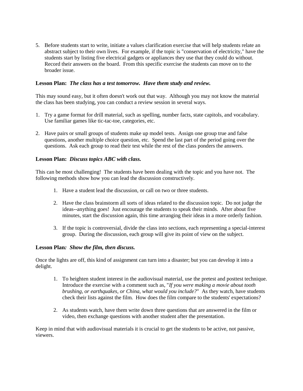5. Before students start to write, initiate a values clarification exercise that will help students relate an abstract subject to their own lives. For example, if the topic is "conservation of electricity," have the students start by listing five electrical gadgets or appliances they use that they could do without. Record their answers on the board. From this specific exercise the students can move on to the broader issue.

## **Lesson Plan:** *The class has a test tomorrow. Have them study and review.*

This may sound easy, but it often doesn't work out that way. Although you may not know the material the class has been studying, you can conduct a review session in several ways.

- 1. Try a game format for drill material, such as spelling, number facts, state capitols, and vocabulary. Use familiar games like tic-tac-toe, categories, etc.
- 2. Have pairs or small groups of students make up model tests. Assign one group true and false questions, another multiple choice question, etc. Spend the last part of the period going over the questions. Ask each group to read their test while the rest of the class ponders the answers.

## **Lesson Plan:** *Discuss topics ABC with class.*

This can be most challenging! The students have been dealing with the topic and you have not. The following methods show how you can lead the discussion constructively.

- 1. Have a student lead the discussion, or call on two or three students.
- 2. Have the class brainstorm all sorts of ideas related to the discussion topic. Do not judge the ideas--anything goes! Just encourage the students to speak their minds. After about five minutes, start the discussion again, this time arranging their ideas in a more orderly fashion.
- 3. If the topic is controversial, divide the class into sections, each representing a special-interest group. During the discussion, each group will give its point of view on the subject.

#### **Lesson Plan***: Show the film, then discuss.*

Once the lights are off, this kind of assignment can turn into a disaster; but you can develop it into a delight.

- 1. To heighten student interest in the audiovisual material, use the pretest and posttest technique. Introduce the exercise with a comment such as, "*If you were making a movie about tooth brushing, or earthquakes, or China, what would you include?*" As they watch, have students check their lists against the film. How does the film compare to the students' expectations?
- 2. As students watch, have them write down three questions that are answered in the film or video, then exchange questions with another student after the presentation.

Keep in mind that with audiovisual materials it is crucial to get the students to be active, not passive, viewers.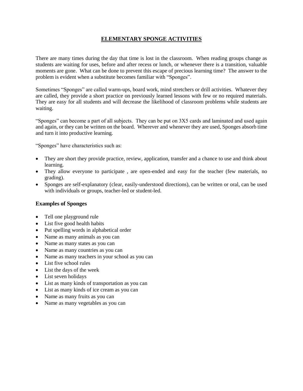## **ELEMENTARY SPONGE ACTIVITIES**

There are many times during the day that time is lost in the classroom. When reading groups change as students are waiting for uses, before and after recess or lunch, or whenever there is a transition, valuable moments are gone. What can be done to prevent this escape of precious learning time? The answer to the problem is evident when a substitute becomes familiar with "Sponges".

Sometimes "Sponges" are called warm-ups, board work, mind stretchers or drill activities. Whatever they are called, they provide a short practice on previously learned lessons with few or no required materials. They are easy for all students and will decrease the likelihood of classroom problems while students are waiting.

"Sponges" can become a part of all subjects. They can be put on 3X5 cards and laminated and used again and again, or they can be written on the board. Wherever and whenever they are used, Sponges absorb time and turn it into productive learning.

"Sponges" have characteristics such as:

- They are short they provide practice, review, application, transfer and a chance to use and think about learning.
- They allow everyone to participate, are open-ended and easy for the teacher (few materials, no grading).
- Sponges are self-explanatory (clear, easily-understood directions), can be written or oral, can be used with individuals or groups, teacher-led or student-led.

#### **Examples of Sponges**

- Tell one playground rule
- List five good health habits
- Put spelling words in alphabetical order
- Name as many animals as you can
- Name as many states as you can
- Name as many countries as you can
- Name as many teachers in your school as you can
- List five school rules
- List the days of the week
- List seven holidays
- List as many kinds of transportation as you can
- List as many kinds of ice cream as you can
- Name as many fruits as you can
- Name as many vegetables as you can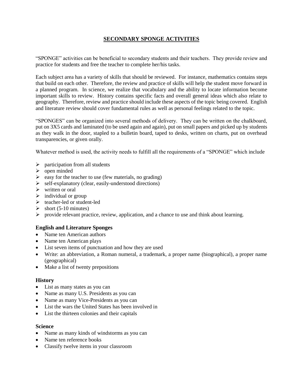# **SECONDARY SPONGE ACTIVITIES**

"SPONGE" activities can be beneficial to secondary students and their teachers. They provide review and practice for students and free the teacher to complete her/his tasks.

Each subject area has a variety of skills that should be reviewed. For instance, mathematics contains steps that build on each other. Therefore, the review and practice of skills will help the student move forward in a planned program. In science, we realize that vocabulary and the ability to locate information become important skills to review. History contains specific facts and overall general ideas which also relate to geography. Therefore, review and practice should include these aspects of the topic being covered. English and literature review should cover fundamental rules as well as personal feelings related to the topic.

"SPONGES" can be organized into several methods of delivery. They can be written on the chalkboard, put on 3X5 cards and laminated (to be used again and again), put on small papers and picked up by students as they walk in the door, stapled to a bulletin board, taped to desks, written on charts, put on overhead transparencies, or given orally.

Whatever method is used, the activity needs to fulfill all the requirements of a "SPONGE" which include

- $\triangleright$  participation from all students
- $\triangleright$  open minded
- $\geq$  easy for the teacher to use (few materials, no grading)
- $\triangleright$  self-explanatory (clear, easily-understood directions)
- $\triangleright$  written or oral
- $\triangleright$  individual or group
- $\triangleright$  teacher-led or student-led
- $\blacktriangleright$  short (5-10 minutes)
- $\triangleright$  provide relevant practice, review, application, and a chance to use and think about learning.

#### **English and Literature Sponges**

- Name ten American authors
- Name ten American plays
- List seven items of punctuation and how they are used
- Write: an abbreviation, a Roman numeral, a trademark, a proper name (biographical), a proper name (geographical)
- Make a list of twenty prepositions

#### **History**

- List as many states as you can
- Name as many U.S. Presidents as you can
- Name as many Vice-Presidents as you can
- List the wars the United States has been involved in
- List the thirteen colonies and their capitals

#### **Science**

- Name as many kinds of windstorms as you can
- Name ten reference books
- Classify twelve items in your classroom